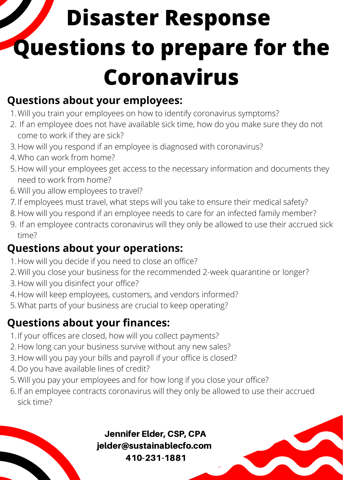# **Disaster Response Questions to prepare for the Coronavirus**

### **Questions about your employees:**

- Will you train your employees on how to identify coronavirus symptoms? 1.
- 2. If an employee does not have available sick time, how do you make sure they do not come to work if they are sick?
- 3. How will you respond if an employee is diagnosed with coronavirus?
- Who can work from home? 4.
- How will your employees get access to the necessary information and documents they 5. need to work from home?
- Will you allow employees to travel? 6.
- If employees must travel, what steps will you take to ensure their medical safety? 7.
- 8. How will you respond if an employee needs to care for an infected family member?
- If an employee contracts coronavirus will they only be allowed to use their accrued sick 9. time?

### **Questions about your operations:**

- 1. How will you decide if you need to close an office?
- Will you close your business for the recommended 2-week quarantine or longer? 2.
- 3. How will you disinfect your office?
- 4. How will keep employees, customers, and vendors informed?
- 5. What parts of your business are crucial to keep operating?

### **Questions about your finances:**

- 1. If your offices are closed, how will you collect payments?
- 2. How long can your business survive without any new sales?
- 3. How will you pay your bills and payroll if your office is closed?
- 4. Do you have available lines of credit?
- 5. Will you pay your employees and for how long if you close your office?
- 6. If an employee contracts coronavirus will they only be allowed to use their accrued sick time?

Jennifer Elder, CSP, CPA jelder@sustainablecfo.com 410-231-1881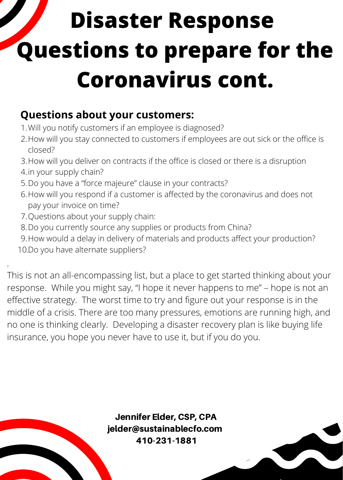# **Disaster Response Questions to prepare for the Coronavirus cont.**

#### **Questions about your customers:**

- Will you notify customers if an employee is diagnosed? 1.
- 2. How will you stay connected to customers if employees are out sick or the office is closed?
- 3. How will you deliver on contracts if the office is closed or there is a disruption
- 4.in your supply chain?
- 5. Do you have a "force majeure" clause in your contracts?
- 6. How will you respond if a customer is affected by the coronavirus and does not pay your invoice on time?
- Questions about your supply chain: 7.
- 8. Do you currently source any supplies or products from China?
- How would a delay in delivery of materials and products affect your production? 9.
- 10.Do you have alternate suppliers?

T This is not an all-encompassing list, but a place to get started thinking about your response. While you might say, "I hope it never happens to me" – hope is not an effective strategy. The worst time to try and figure out your response is in the middle of a crisis. There are too many pressures, emotions are running high, and no one is thinking clearly. Developing a disaster recovery plan is like buying life insurance, you hope you never have to use it, but if you do you.

> Jennifer Elder, CSP, CPA jelder@sustainablecfo.com 410-231-1881